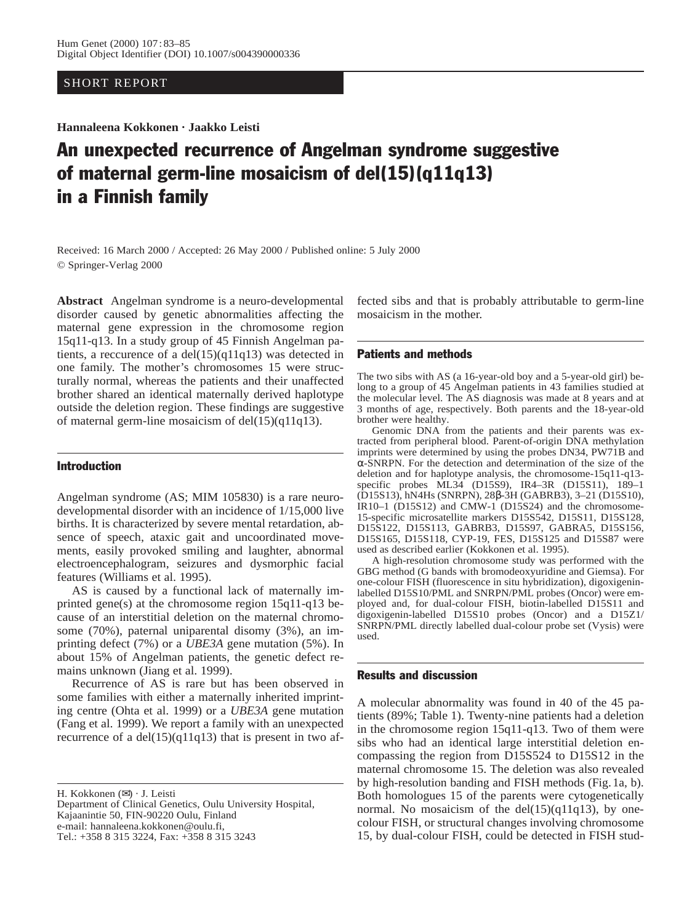## SHORT REPORT

**Hannaleena Kokkonen · Jaakko Leisti**

# An unexpected recurrence of Angelman syndrome suggestive of maternal germ-line mosaicism of del(15)(q11q13) in a Finnish family

Received: 16 March 2000 / Accepted: 26 May 2000 / Published online: 5 July 2000 © Springer-Verlag 2000

**Abstract** Angelman syndrome is a neuro-developmental disorder caused by genetic abnormalities affecting the maternal gene expression in the chromosome region 15q11-q13. In a study group of 45 Finnish Angelman patients, a reccurence of a del(15)(q11q13) was detected in one family. The mother's chromosomes 15 were structurally normal, whereas the patients and their unaffected brother shared an identical maternally derived haplotype outside the deletion region. These findings are suggestive of maternal germ-line mosaicism of del(15)(q11q13).

## Introduction

Angelman syndrome (AS; MIM 105830) is a rare neurodevelopmental disorder with an incidence of 1/15,000 live births. It is characterized by severe mental retardation, absence of speech, ataxic gait and uncoordinated movements, easily provoked smiling and laughter, abnormal electroencephalogram, seizures and dysmorphic facial features (Williams et al. 1995).

AS is caused by a functional lack of maternally imprinted gene(s) at the chromosome region 15q11-q13 because of an interstitial deletion on the maternal chromosome (70%), paternal uniparental disomy (3%), an imprinting defect (7%) or a *UBE3A* gene mutation (5%). In about 15% of Angelman patients, the genetic defect remains unknown (Jiang et al. 1999).

Recurrence of AS is rare but has been observed in some families with either a maternally inherited imprinting centre (Ohta et al. 1999) or a *UBE3A* gene mutation (Fang et al. 1999). We report a family with an unexpected recurrence of a  $del(15)(q11q13)$  that is present in two af-

H. Kokkonen (✉) · J. Leisti

Department of Clinical Genetics, Oulu University Hospital, Kajaanintie 50, FIN-90220 Oulu, Finland e-mail: hannaleena.kokkonen@oulu.fi, Tel.: +358 8 315 3224, Fax: +358 8 315 3243

fected sibs and that is probably attributable to germ-line mosaicism in the mother.

#### Patients and methods

The two sibs with AS (a 16-year-old boy and a 5-year-old girl) belong to a group of 45 Angelman patients in 43 families studied at the molecular level. The AS diagnosis was made at 8 years and at 3 months of age, respectively. Both parents and the 18-year-old brother were healthy.

Genomic DNA from the patients and their parents was extracted from peripheral blood. Parent-of-origin DNA methylation imprints were determined by using the probes DN34, PW71B and α-SNRPN. For the detection and determination of the size of the deletion and for haplotype analysis, the chromosome-15q11-q13 specific probes ML34 (D15S9), IR4–3R (D15S11), 189–1 (D15S13), hN4Hs (SNRPN), 28β-3H (GABRB3), 3–21 (D15S10), IR10–1 (D15S12) and CMW-1 (D15S24) and the chromosome-15-specific microsatellite markers D15S542, D15S11, D15S128, D15S122, D15S113, GABRB3, D15S97, GABRA5, D15S156, D15S165, D15S118, CYP-19, FES, D15S125 and D15S87 were used as described earlier (Kokkonen et al. 1995).

A high-resolution chromosome study was performed with the GBG method (G bands with bromodeoxyuridine and Giemsa). For one-colour FISH (fluorescence in situ hybridization), digoxigeninlabelled D15S10/PML and SNRPN/PML probes (Oncor) were employed and, for dual-colour FISH, biotin-labelled D15S11 and digoxigenin-labelled D15S10 probes (Oncor) and a D15Z1/ SNRPN/PML directly labelled dual-colour probe set (Vysis) were used.

### Results and discussion

A molecular abnormality was found in 40 of the 45 patients (89%; Table 1). Twenty-nine patients had a deletion in the chromosome region 15q11-q13. Two of them were sibs who had an identical large interstitial deletion encompassing the region from D15S524 to D15S12 in the maternal chromosome 15. The deletion was also revealed by high-resolution banding and FISH methods (Fig. 1a, b). Both homologues 15 of the parents were cytogenetically normal. No mosaicism of the del(15)(q11q13), by onecolour FISH, or structural changes involving chromosome 15, by dual-colour FISH, could be detected in FISH stud-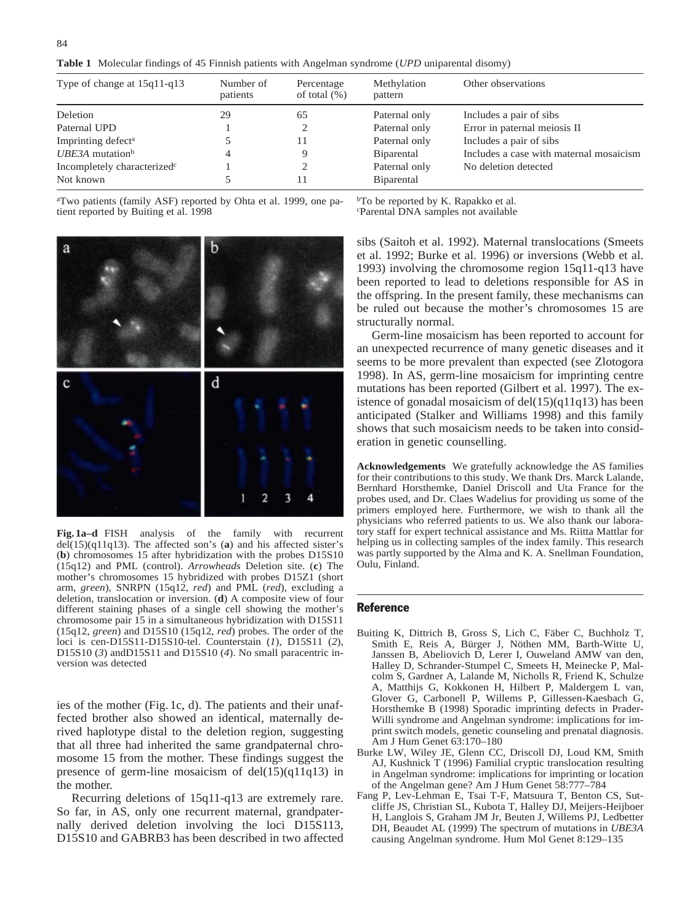| Type of change at $15q11-q13$           | Number of<br>patients | Percentage<br>of total $(\%)$ | Methylation<br>pattern | Other observations                      |
|-----------------------------------------|-----------------------|-------------------------------|------------------------|-----------------------------------------|
| Deletion                                | 29                    | 65                            | Paternal only          | Includes a pair of sibs                 |
| Paternal UPD                            |                       |                               | Paternal only          | Error in paternal meiosis II            |
| Imprinting defect <sup>a</sup>          |                       | 11                            | Paternal only          | Includes a pair of sibs                 |
| UBE3A mutation $\rm^b$                  | 4                     |                               | <b>B</b> iparental     | Includes a case with maternal mosaicism |
| Incompletely characterized <sup>c</sup> |                       |                               | Paternal only          | No deletion detected                    |
| Not known                               |                       |                               | Biparental             |                                         |

a Two patients (family ASF) reported by Ohta et al. 1999, one patient reported by Buiting et al. 1998

<sup>b</sup>To be reported by K. Rapakko et al. c Parental DNA samples not available



**Fig. 1a–d** FISH analysis of the family with recurrent del(15)(q11q13). The affected son's (**a**) and his affected sister's (**b**) chromosomes 15 after hybridization with the probes D15S10 (15q12) and PML (control). *Arrowheads* Deletion site. (**c**) The mother's chromosomes 15 hybridized with probes D15Z1 (short arm, *green*), SNRPN (15q12, *red*) and PML (*red*), excluding a deletion, translocation or inversion. (**d**) A composite view of four different staining phases of a single cell showing the mother's chromosome pair 15 in a simultaneous hybridization with D15S11 (15q12, *green*) and D15S10 (15q12, *red*) probes. The order of the loci is cen-D15S11-D15S10-tel. Counterstain (*1*), D15S11 (*2*), D15S10 (*3*) andD15S11 and D15S10 (*4*). No small paracentric inversion was detected

ies of the mother (Fig. 1c, d). The patients and their unaffected brother also showed an identical, maternally derived haplotype distal to the deletion region, suggesting that all three had inherited the same grandpaternal chromosome 15 from the mother. These findings suggest the presence of germ-line mosaicism of del(15)(q11q13) in the mother.

Recurring deletions of 15q11-q13 are extremely rare. So far, in AS, only one recurrent maternal, grandpaternally derived deletion involving the loci D15S113, D15S10 and GABRB3 has been described in two affected sibs (Saitoh et al. 1992). Maternal translocations (Smeets et al. 1992; Burke et al. 1996) or inversions (Webb et al. 1993) involving the chromosome region 15q11-q13 have been reported to lead to deletions responsible for AS in the offspring. In the present family, these mechanisms can be ruled out because the mother's chromosomes 15 are structurally normal.

Germ-line mosaicism has been reported to account for an unexpected recurrence of many genetic diseases and it seems to be more prevalent than expected (see Zlotogora 1998). In AS, germ-line mosaicism for imprinting centre mutations has been reported (Gilbert et al. 1997). The existence of gonadal mosaicism of del(15)(q11q13) has been anticipated (Stalker and Williams 1998) and this family shows that such mosaicism needs to be taken into consideration in genetic counselling.

**Acknowledgements** We gratefully acknowledge the AS families for their contributions to this study. We thank Drs. Marck Lalande, Bernhard Horsthemke, Daniel Driscoll and Uta France for the probes used, and Dr. Claes Wadelius for providing us some of the primers employed here. Furthermore, we wish to thank all the physicians who referred patients to us. We also thank our laboratory staff for expert technical assistance and Ms. Riitta Mattlar for helping us in collecting samples of the index family. This research was partly supported by the Alma and K. A. Snellman Foundation, Oulu, Finland.

#### Reference

- Buiting K, Dittrich B, Gross S, Lich C, Fäber C, Buchholz T, Smith E, Reis A, Bürger J, Nöthen MM, Barth-Witte U, Janssen B, Abeliovich D, Lerer I, Ouweland AMW van den, Halley D, Schrander-Stumpel C, Smeets H, Meinecke P, Malcolm S, Gardner A, Lalande M, Nicholls R, Friend K, Schulze A, Matthijs G, Kokkonen H, Hilbert P, Maldergem L van, Glover G, Carbonell P, Willems P, Gillessen-Kaesbach G, Horsthemke B (1998) Sporadic imprinting defects in Prader-Willi syndrome and Angelman syndrome: implications for imprint switch models, genetic counseling and prenatal diagnosis. Am J Hum Genet 63:170–180
- Burke LW, Wiley JE, Glenn CC, Driscoll DJ, Loud KM, Smith AJ, Kushnick T (1996) Familial cryptic translocation resulting in Angelman syndrome: implications for imprinting or location of the Angelman gene? Am J Hum Genet 58:777–784
- Fang P, Lev-Lehman E, Tsai T-F, Matsuura T, Benton CS, Sutcliffe JS, Christian SL, Kubota T, Halley DJ, Meijers-Heijboer H, Langlois S, Graham JM Jr, Beuten J, Willems PJ, Ledbetter DH, Beaudet AL (1999) The spectrum of mutations in *UBE3A* causing Angelman syndrome. Hum Mol Genet 8:129–135